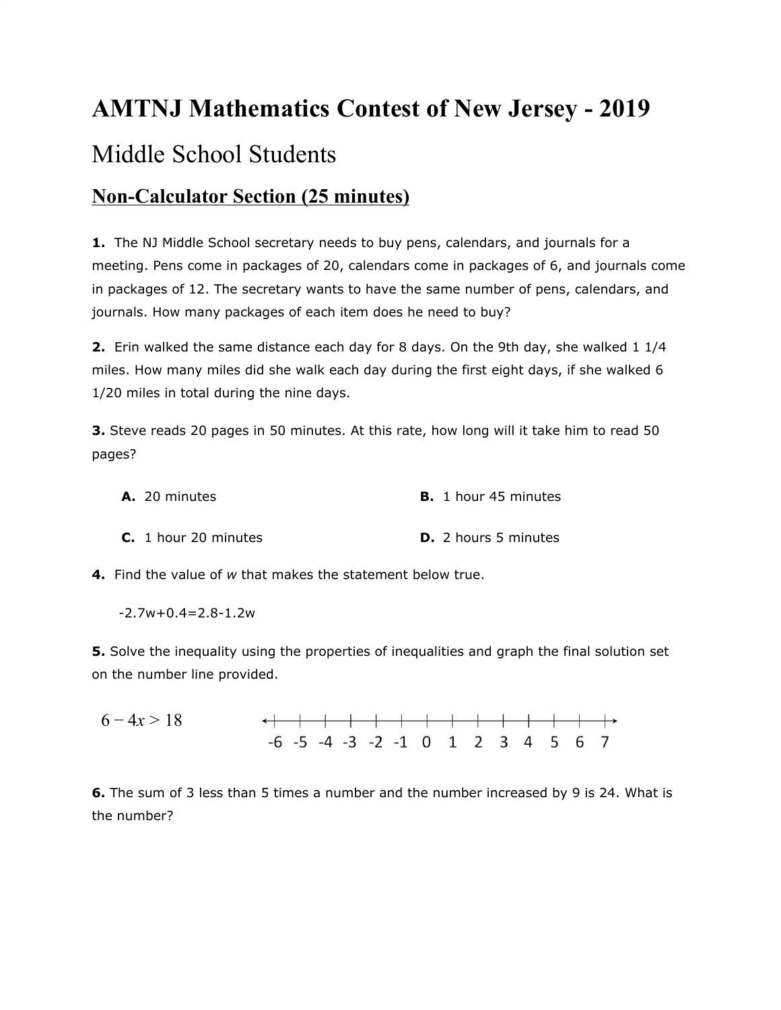## **AMTNJ Mathematics Contest of New Jersey - 2019** Middle School Students

## **Non-Calculator Section (25 minutes)**

**1.** The NJ Middle School secretary needs to buy pens, calendars, and journals for a meeting. Pens come in packages of 20, calendars come in packages of 6, and journals come in packages of 12. The secretary wants to have the same number of pens, calendars, and journals. How many packages of each item does he need to buy?

**2.** Erin walked the same distance each day for 8 days. On the 9th day, she walked 1 1/4 miles. How many miles did she walk each day during the first eight days, if she walked 6 1/20 miles in total during the nine days.

**3.** Steve reads 20 pages in 50 minutes. At this rate, how long will it take him to read 50 pages?

| A. 20 minutes          | <b>B.</b> 1 hour 45 minutes |
|------------------------|-----------------------------|
| $C. 1$ hour 20 minutes | <b>D.</b> 2 hours 5 minutes |

**4.** Find the value of *w* that makes the statement below true.

 $-2.7w+0.4=2.8-1.2w$ 

**5.** Solve the inequality using the properties of inequalities and graph the final solution set on the number line provided.

$$
6-4x > 18 \qquad \qquad \longleftrightarrow
$$

**6.** The sum of 3 less than 5 times a number and the number increased by 9 is 24. What is the number?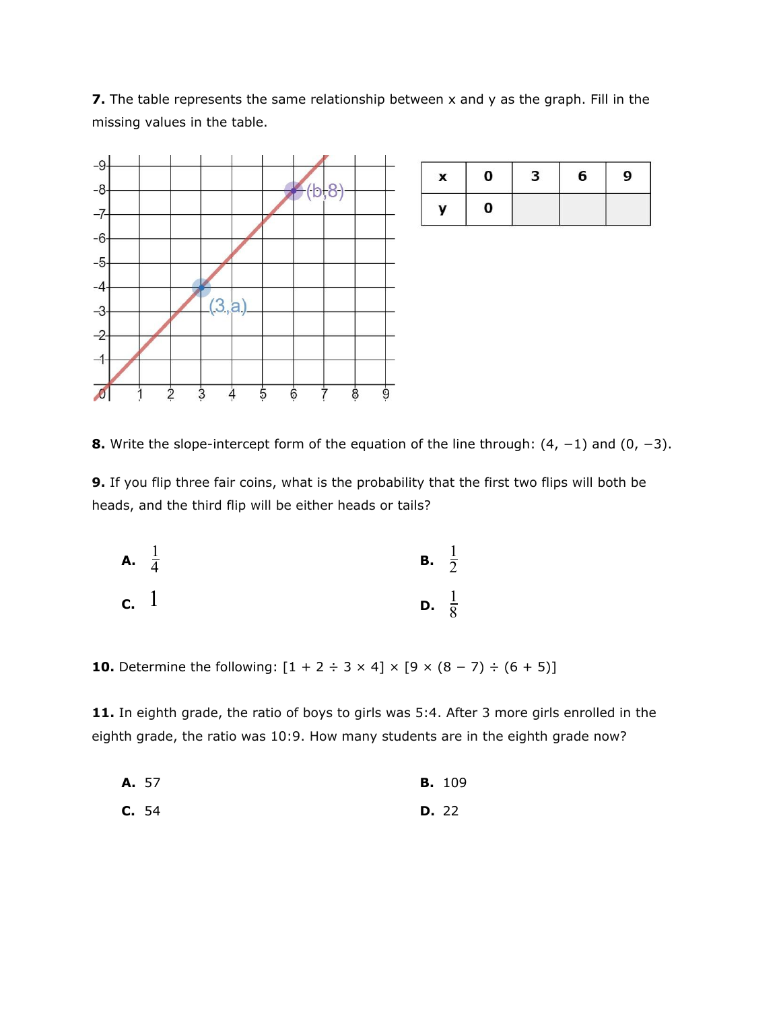**7.** The table represents the same relationship between x and y as the graph. Fill in the missing values in the table.



8. Write the slope-intercept form of the equation of the line through:  $(4, -1)$  and  $(0, -3)$ .

**9.** If you flip three fair coins, what is the probability that the first two flips will both be heads, and the third flip will be either heads or tails?

**A.** 
$$
\frac{1}{4}
$$
   
**B.**  $\frac{1}{2}$    
**C.** 1   
**D.**  $\frac{1}{8}$ 

**10.** Determine the following:  $[1 + 2 \div 3 \times 4] \times [9 \times (8 - 7) \div (6 + 5)]$ 

**11.** In eighth grade, the ratio of boys to girls was 5:4. After 3 more girls enrolled in the eighth grade, the ratio was 10:9. How many students are in the eighth grade now?

**A.** 57 **B.** 109

**C.** 54 **D.** 22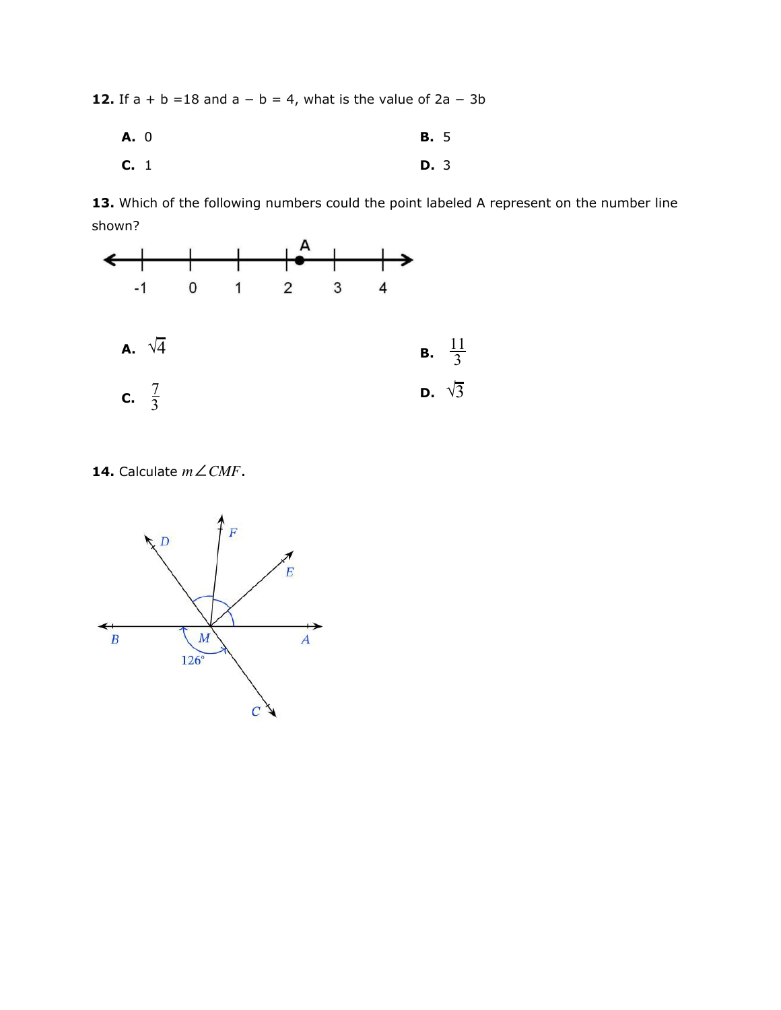**12.** If  $a + b = 18$  and  $a - b = 4$ , what is the value of  $2a - 3b$ 

**A.** 0 **B.** 5 **C.** 1 **D.** 3

13. Which of the following numbers could the point labeled A represent on the number line shown?



**14.** Calculate  $m \angle CMF$ .

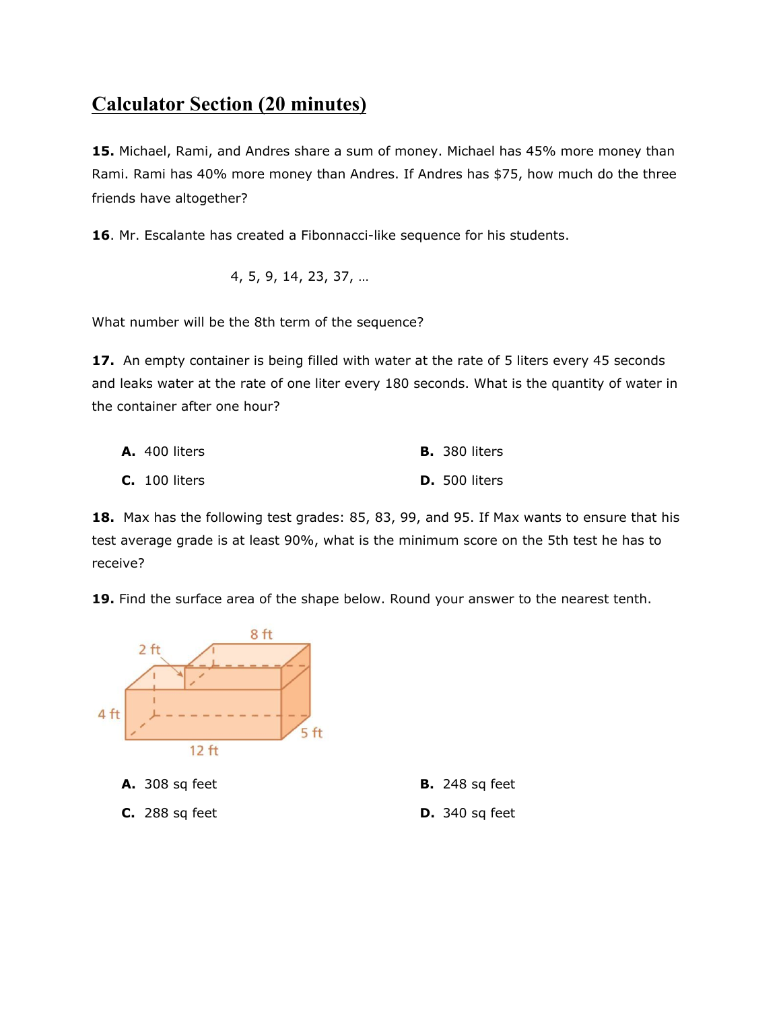## **Calculator Section (20 minutes)**

**15.** Michael, Rami, and Andres share a sum of money. Michael has 45% more money than Rami. Rami has 40% more money than Andres. If Andres has \$75, how much do the three friends have altogether?

**16**. Mr. Escalante has created a Fibonnacci-like sequence for his students.

$$
4, 5, 9, 14, 23, 37, \dots
$$

What number will be the 8th term of the sequence?

**17.** An empty container is being filled with water at the rate of 5 liters every 45 seconds and leaks water at the rate of one liter every 180 seconds. What is the quantity of water in the container after one hour?

| <b>A.</b> 400 liters | <b>B.</b> 380 liters |
|----------------------|----------------------|
| <b>C.</b> 100 liters | <b>D.</b> 500 liters |

**18.** Max has the following test grades: 85, 83, 99, and 95. If Max wants to ensure that his test average grade is at least 90%, what is the minimum score on the 5th test he has to receive?

**19.** Find the surface area of the shape below. Round your answer to the nearest tenth.



**C.** 288 sq feet **D.** 340 sq feet